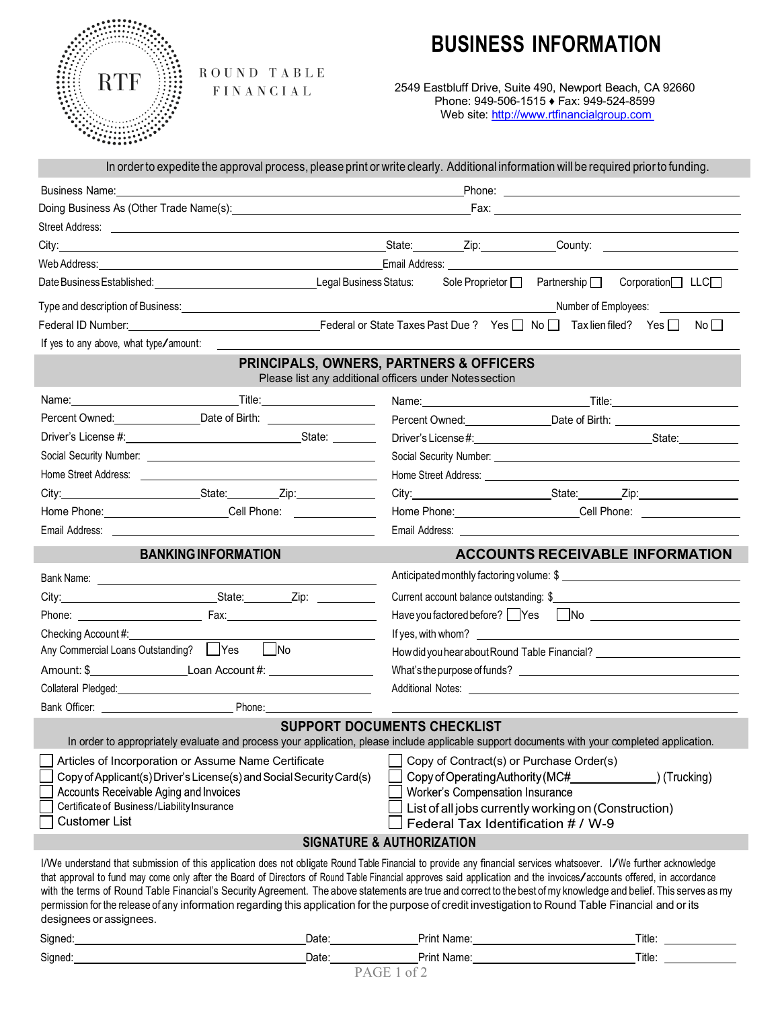## **BUSINESS INFORMATION**



ROUND TABLE FINANCIAL

2549 Eastbluff Drive, Suite 490, Newport Beach, CA 92660 Phone: 949-506-1515 ♦ Fax: 949-524-8599 Web site: http://www.rtfinancialgroup.com

|                                                                                                                                                                                                                                                                                                                                                        | Business Name: Manual Manual Manual Manual Manual Manual Manual Manual Manual Manual Manual Manual Manual Manu<br>Phone: New York Street, New York Street, New York Street, New York Street, New York Street, New York Street, New York Street, New York Street, New York Street, New York Street, New York Street, New York Street, New York St                                                                                                                                                   |                                                                                                    |                                                                                                                                                                                                                                     |  |  |
|--------------------------------------------------------------------------------------------------------------------------------------------------------------------------------------------------------------------------------------------------------------------------------------------------------------------------------------------------------|----------------------------------------------------------------------------------------------------------------------------------------------------------------------------------------------------------------------------------------------------------------------------------------------------------------------------------------------------------------------------------------------------------------------------------------------------------------------------------------------------|----------------------------------------------------------------------------------------------------|-------------------------------------------------------------------------------------------------------------------------------------------------------------------------------------------------------------------------------------|--|--|
|                                                                                                                                                                                                                                                                                                                                                        | Doing Business As (Other Trade Name(s): Notice that the matter of the matter of the matter of the matter of the matter of the matter of the matter of the matter of the matter of the matter of the matter of the matter of th                                                                                                                                                                                                                                                                     |                                                                                                    |                                                                                                                                                                                                                                     |  |  |
|                                                                                                                                                                                                                                                                                                                                                        |                                                                                                                                                                                                                                                                                                                                                                                                                                                                                                    |                                                                                                    |                                                                                                                                                                                                                                     |  |  |
|                                                                                                                                                                                                                                                                                                                                                        |                                                                                                                                                                                                                                                                                                                                                                                                                                                                                                    |                                                                                                    | City: City: Cube City: Cube County: City: Cube County: County: County: County: County: County: County: County: County: County: County: County: County: County: County: County: County: County: County: County: County: County:      |  |  |
|                                                                                                                                                                                                                                                                                                                                                        | Web Address: Note and Society Address: Note and Society Address: Note and Address: Note and Address: Note and Address: Note and Address: Note and Address: Note and Address: Note and Address: Note and Address: Note and Addr                                                                                                                                                                                                                                                                     |                                                                                                    |                                                                                                                                                                                                                                     |  |  |
|                                                                                                                                                                                                                                                                                                                                                        |                                                                                                                                                                                                                                                                                                                                                                                                                                                                                                    |                                                                                                    | Sole Proprietor   Partnership   Corporation   LLC                                                                                                                                                                                   |  |  |
|                                                                                                                                                                                                                                                                                                                                                        |                                                                                                                                                                                                                                                                                                                                                                                                                                                                                                    |                                                                                                    | Number of Employees: ______________                                                                                                                                                                                                 |  |  |
|                                                                                                                                                                                                                                                                                                                                                        |                                                                                                                                                                                                                                                                                                                                                                                                                                                                                                    |                                                                                                    | Federal ID Number: No Discussion Contract Contract Contract Contract Contract Contract Contract Contract Contract Contract Contract Contract Contract Contract Contract Contract Contract Contract Contract Contract Contract       |  |  |
| If yes to any above, what type/amount:                                                                                                                                                                                                                                                                                                                 |                                                                                                                                                                                                                                                                                                                                                                                                                                                                                                    |                                                                                                    |                                                                                                                                                                                                                                     |  |  |
|                                                                                                                                                                                                                                                                                                                                                        |                                                                                                                                                                                                                                                                                                                                                                                                                                                                                                    | PRINCIPALS, OWNERS, PARTNERS & OFFICERS<br>Please list any additional officers under Notes section |                                                                                                                                                                                                                                     |  |  |
|                                                                                                                                                                                                                                                                                                                                                        |                                                                                                                                                                                                                                                                                                                                                                                                                                                                                                    |                                                                                                    | Name: Name: Name: Name: Name: Name: Name: Name: Name: Name: Name: Name: Name: Name: Name: Name: Name: Name: Name: Name: Name: Name: Name: Name: Name: Name: Name: Name: Name: Name: Name: Name: Name: Name: Name: Name: Name:       |  |  |
|                                                                                                                                                                                                                                                                                                                                                        | Percent Owned: _________________Date of Birth: _________________________________                                                                                                                                                                                                                                                                                                                                                                                                                   |                                                                                                    | Percent Owned: _______________________Date of Birth: ___________________________                                                                                                                                                    |  |  |
|                                                                                                                                                                                                                                                                                                                                                        |                                                                                                                                                                                                                                                                                                                                                                                                                                                                                                    |                                                                                                    | Driver's License #: State: State: State: State: State: State: State: State: State: State: State: State: State: State: State: State: State: State: State: State: State: State: State: State: State: State: State: State: State:      |  |  |
|                                                                                                                                                                                                                                                                                                                                                        |                                                                                                                                                                                                                                                                                                                                                                                                                                                                                                    |                                                                                                    |                                                                                                                                                                                                                                     |  |  |
|                                                                                                                                                                                                                                                                                                                                                        |                                                                                                                                                                                                                                                                                                                                                                                                                                                                                                    |                                                                                                    | Home Street Address: <u>www.community.com and the street Address:</u>                                                                                                                                                               |  |  |
|                                                                                                                                                                                                                                                                                                                                                        | City: City: City: City: City: City: City:                                                                                                                                                                                                                                                                                                                                                                                                                                                          |                                                                                                    | City: City: City: City: City: City: City: City: City: City: City: City: City: City: City: City: City: City: City: City: City: City: City: City: City: City: City: City: City: City: City: City: City: City: City: City: City:       |  |  |
|                                                                                                                                                                                                                                                                                                                                                        | Home Phone: _________________________Cell Phone: _______________________________                                                                                                                                                                                                                                                                                                                                                                                                                   |                                                                                                    | Home Phone: ________________________Cell Phone: ________________________________                                                                                                                                                    |  |  |
|                                                                                                                                                                                                                                                                                                                                                        | Email Address: Email Address:                                                                                                                                                                                                                                                                                                                                                                                                                                                                      |                                                                                                    | Email Address: <u>Communication</u> Contract and Contract Contract Contract Contract Contract Contract Contract Contract Contract Contract Contract Contract Contract Contract Contract Contract Contract Contract Contract Contrac |  |  |
|                                                                                                                                                                                                                                                                                                                                                        | <b>BANKING INFORMATION</b>                                                                                                                                                                                                                                                                                                                                                                                                                                                                         |                                                                                                    | <b>ACCOUNTS RECEIVABLE INFORMATION</b>                                                                                                                                                                                              |  |  |
|                                                                                                                                                                                                                                                                                                                                                        |                                                                                                                                                                                                                                                                                                                                                                                                                                                                                                    | Anticipated monthly factoring volume: \$                                                           |                                                                                                                                                                                                                                     |  |  |
|                                                                                                                                                                                                                                                                                                                                                        |                                                                                                                                                                                                                                                                                                                                                                                                                                                                                                    | Current account balance outstanding: \$                                                            |                                                                                                                                                                                                                                     |  |  |
|                                                                                                                                                                                                                                                                                                                                                        |                                                                                                                                                                                                                                                                                                                                                                                                                                                                                                    |                                                                                                    |                                                                                                                                                                                                                                     |  |  |
| Checking Account#:                                                                                                                                                                                                                                                                                                                                     |                                                                                                                                                                                                                                                                                                                                                                                                                                                                                                    |                                                                                                    |                                                                                                                                                                                                                                     |  |  |
| Any Commercial Loans Outstanding? Nes No                                                                                                                                                                                                                                                                                                               |                                                                                                                                                                                                                                                                                                                                                                                                                                                                                                    | How did you hear about Round Table Financial? __________________________________                   |                                                                                                                                                                                                                                     |  |  |
| Amount: \$                                                                                                                                                                                                                                                                                                                                             |                                                                                                                                                                                                                                                                                                                                                                                                                                                                                                    | What's the purpose of funds?                                                                       |                                                                                                                                                                                                                                     |  |  |
|                                                                                                                                                                                                                                                                                                                                                        |                                                                                                                                                                                                                                                                                                                                                                                                                                                                                                    |                                                                                                    |                                                                                                                                                                                                                                     |  |  |
|                                                                                                                                                                                                                                                                                                                                                        |                                                                                                                                                                                                                                                                                                                                                                                                                                                                                                    |                                                                                                    |                                                                                                                                                                                                                                     |  |  |
|                                                                                                                                                                                                                                                                                                                                                        |                                                                                                                                                                                                                                                                                                                                                                                                                                                                                                    |                                                                                                    |                                                                                                                                                                                                                                     |  |  |
|                                                                                                                                                                                                                                                                                                                                                        | In order to appropriately evaluate and process your application, please include applicable support documents with your completed application.                                                                                                                                                                                                                                                                                                                                                      | SUPPORT DOCUMENTS CHECKLIST                                                                        |                                                                                                                                                                                                                                     |  |  |
|                                                                                                                                                                                                                                                                                                                                                        | Articles of Incorporation or Assume Name Certificate                                                                                                                                                                                                                                                                                                                                                                                                                                               | Copy of Contract(s) or Purchase Order(s)                                                           |                                                                                                                                                                                                                                     |  |  |
|                                                                                                                                                                                                                                                                                                                                                        | Copy of Applicant(s) Driver's License(s) and Social Security Card(s)                                                                                                                                                                                                                                                                                                                                                                                                                               | Copy of Operating Authority (MC#____________                                                       | ) (Trucking)                                                                                                                                                                                                                        |  |  |
| Accounts Receivable Aging and Invoices                                                                                                                                                                                                                                                                                                                 |                                                                                                                                                                                                                                                                                                                                                                                                                                                                                                    | Worker's Compensation Insurance                                                                    |                                                                                                                                                                                                                                     |  |  |
| Certificate of Business/Liability Insurance                                                                                                                                                                                                                                                                                                            |                                                                                                                                                                                                                                                                                                                                                                                                                                                                                                    |                                                                                                    | List of all jobs currently working on (Construction)                                                                                                                                                                                |  |  |
| <b>Customer List</b>                                                                                                                                                                                                                                                                                                                                   |                                                                                                                                                                                                                                                                                                                                                                                                                                                                                                    | Federal Tax Identification # / W-9                                                                 |                                                                                                                                                                                                                                     |  |  |
|                                                                                                                                                                                                                                                                                                                                                        | I/We understand that submission of this application does not obligate Round Table Financial to provide any financial services whatsoever. I/We further acknowledge<br>that approval to fund may come only after the Board of Directors of Round Table Financial approves said application and the invoices/accounts offered, in accordance<br>permission for the release of any information regarding this application for the purpose of credit investigation to Round Table Financial and or its | <b>SIGNATURE &amp; AUTHORIZATION</b>                                                               |                                                                                                                                                                                                                                     |  |  |
| Collateral Pledged: North American Collateral Pledged: North American Collateral Pledged:<br>designees or assignees.<br>Signed: Signed: Signed: Signed: Signed: Signed: Signed: Signed: Signed: Signed: Signed: Signed: Signed: Signed: Signed: Signed: Signed: Signed: Signed: Signed: Signed: Signed: Signed: Signed: Signed: Signed: Signed: Signed |                                                                                                                                                                                                                                                                                                                                                                                                                                                                                                    | Date: Print Name: Date: 2014                                                                       | with the terms of Round Table Financial's Security Agreement. The above statements are true and correct to the best of my knowledge and belief. This serves as my                                                                   |  |  |